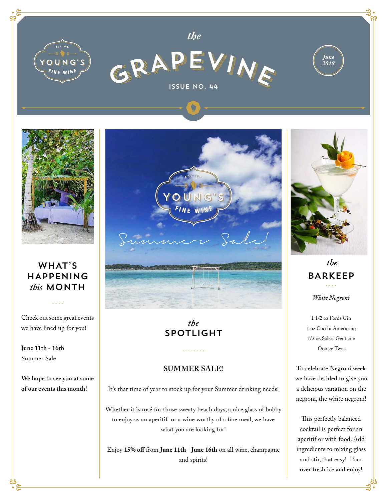



### WHAT'S HAPPENING *this* MONTH

Check out some great events we have lined up for you!

. . . .

**June 11th - 16th**  Summer Sale

**We hope to see you at some of our events this month!**



## *the* SPOTLIGHT

#### **SUMMER SALE!**

It's that time of year to stock up for your Summer drinking needs!

Whether it is rosé for those sweaty beach days, a nice glass of bubby to enjoy as an aperitif or a wine worthy of a fine meal, we have what you are looking for!

Enjoy **15% off** from **June 11th - June 16th** on all wine, champagne and spirits!

![](_page_0_Picture_12.jpeg)

*White Negroni the* BARKEEP

1 1/2 oz Fords Gin 1 oz Cocchi Americano 1/2 oz Salers Gentiane Orange Twist

To celebrate Negroni week we have decided to give you a delicious variation on the negroni, the white negroni!

This perfectly balanced cocktail is perfect for an aperitif or with food. Add ingredients to mixing glass and stir, that easy! Pour over fresh ice and enjoy!